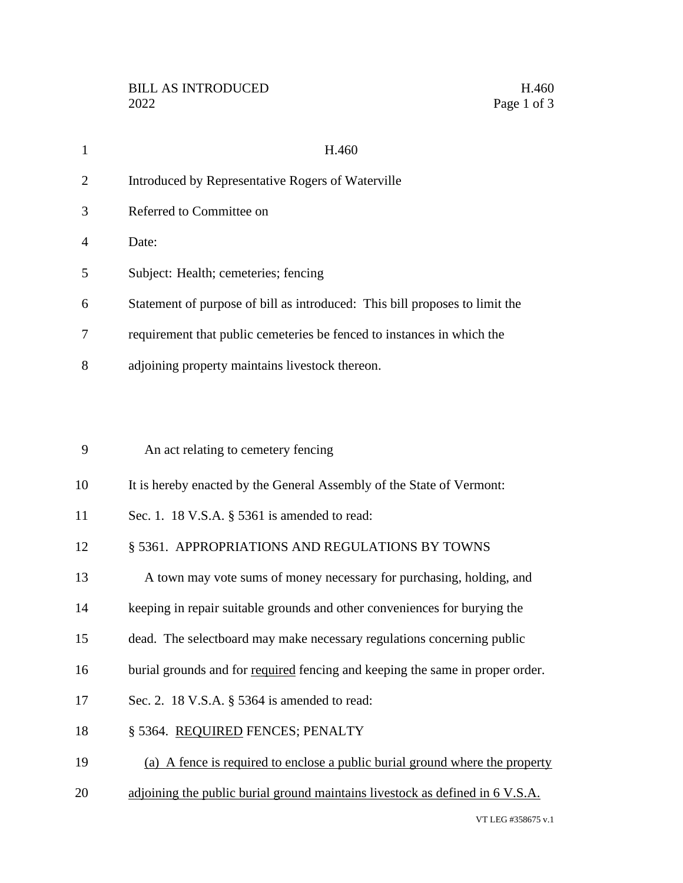| $\mathbf{1}$   | H.460                                                                         |
|----------------|-------------------------------------------------------------------------------|
| $\overline{2}$ | Introduced by Representative Rogers of Waterville                             |
| 3              | Referred to Committee on                                                      |
| 4              | Date:                                                                         |
| 5              | Subject: Health; cemeteries; fencing                                          |
| 6              | Statement of purpose of bill as introduced: This bill proposes to limit the   |
| 7              | requirement that public cemeteries be fenced to instances in which the        |
| 8              | adjoining property maintains livestock thereon.                               |
|                |                                                                               |
| 9              | An act relating to cemetery fencing                                           |
| 10             | It is hereby enacted by the General Assembly of the State of Vermont:         |
| 11             | Sec. 1. 18 V.S.A. § 5361 is amended to read:                                  |
| 12             | § 5361. APPROPRIATIONS AND REGULATIONS BY TOWNS                               |
| 13             | A town may vote sums of money necessary for purchasing, holding, and          |
| 14             | keeping in repair suitable grounds and other conveniences for burying the     |
| 15             | dead. The selectboard may make necessary regulations concerning public        |
| 16             | burial grounds and for required fencing and keeping the same in proper order. |
| 17             | Sec. 2. 18 V.S.A. § 5364 is amended to read:                                  |
| 18             | § 5364. REQUIRED FENCES; PENALTY                                              |
| 19             | (a) A fence is required to enclose a public burial ground where the property  |
| 20             | adjoining the public burial ground maintains livestock as defined in 6 V.S.A. |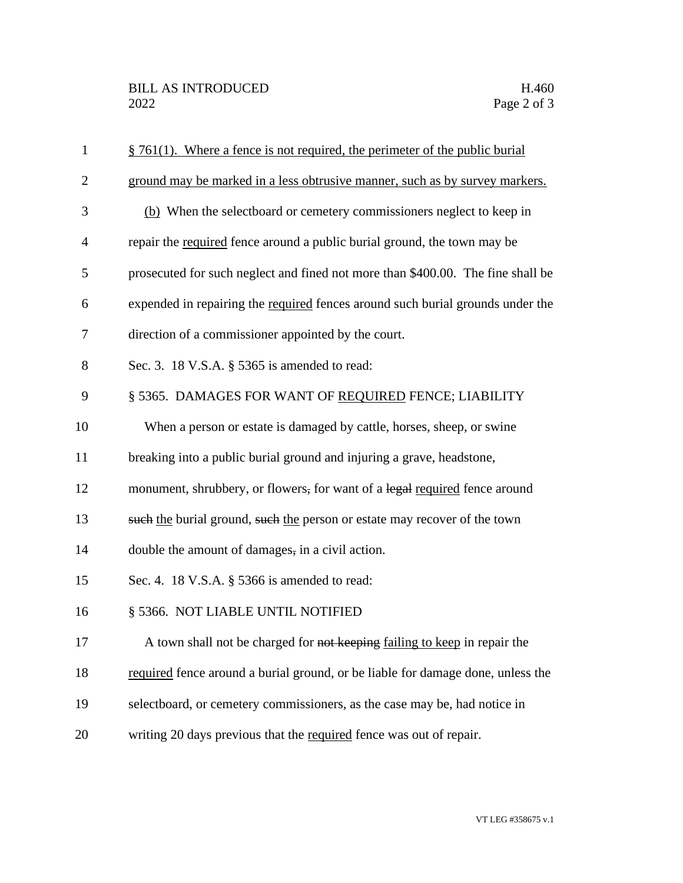| $\mathbf{1}$   | $§$ 761(1). Where a fence is not required, the perimeter of the public burial   |
|----------------|---------------------------------------------------------------------------------|
| $\overline{2}$ | ground may be marked in a less obtrusive manner, such as by survey markers.     |
| 3              | (b) When the selectboard or cemetery commissioners neglect to keep in           |
| $\overline{4}$ | repair the required fence around a public burial ground, the town may be        |
| 5              | prosecuted for such neglect and fined not more than \$400.00. The fine shall be |
| 6              | expended in repairing the required fences around such burial grounds under the  |
| 7              | direction of a commissioner appointed by the court.                             |
| 8              | Sec. 3. 18 V.S.A. § 5365 is amended to read:                                    |
| 9              | § 5365. DAMAGES FOR WANT OF REQUIRED FENCE; LIABILITY                           |
| 10             | When a person or estate is damaged by cattle, horses, sheep, or swine           |
| 11             | breaking into a public burial ground and injuring a grave, headstone,           |
| 12             | monument, shrubbery, or flowers, for want of a legal required fence around      |
| 13             | such the burial ground, such the person or estate may recover of the town       |
| 14             | double the amount of damages, in a civil action.                                |
| 15             | Sec. 4. 18 V.S.A. § 5366 is amended to read:                                    |
| 16             | § 5366. NOT LIABLE UNTIL NOTIFIED                                               |
| 17             | A town shall not be charged for not keeping failing to keep in repair the       |
| 18             | required fence around a burial ground, or be liable for damage done, unless the |
| 19             | selectboard, or cemetery commissioners, as the case may be, had notice in       |
| 20             | writing 20 days previous that the required fence was out of repair.             |
|                |                                                                                 |